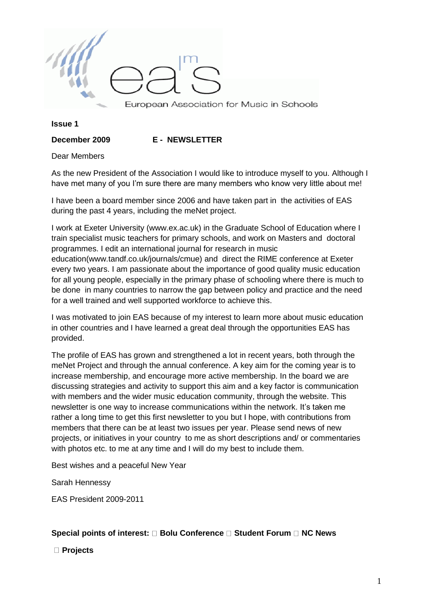

**Issue 1** 

**December 2009 E - NEWSLETTER**

Dear Members

As the new President of the Association I would like to introduce myself to you. Although I have met many of you I'm sure there are many members who know very little about me!

I have been a board member since 2006 and have taken part in the activities of EAS during the past 4 years, including the meNet project.

I work at Exeter University (www.ex.ac.uk) in the Graduate School of Education where I train specialist music teachers for primary schools, and work on Masters and doctoral programmes. I edit an international journal for research in music education(www.tandf.co.uk/journals/cmue) and direct the RIME conference at Exeter every two years. I am passionate about the importance of good quality music education for all young people, especially in the primary phase of schooling where there is much to be done in many countries to narrow the gap between policy and practice and the need for a well trained and well supported workforce to achieve this.

I was motivated to join EAS because of my interest to learn more about music education in other countries and I have learned a great deal through the opportunities EAS has provided.

The profile of EAS has grown and strengthened a lot in recent years, both through the meNet Project and through the annual conference. A key aim for the coming year is to increase membership, and encourage more active membership. In the board we are discussing strategies and activity to support this aim and a key factor is communication with members and the wider music education community, through the website. This newsletter is one way to increase communications within the network. It's taken me rather a long time to get this first newsletter to you but I hope, with contributions from members that there can be at least two issues per year. Please send news of new projects, or initiatives in your country to me as short descriptions and/ or commentaries with photos etc. to me at any time and I will do my best to include them.

Best wishes and a peaceful New Year

Sarah Hennessy

EAS President 2009-2011

#### Special points of interest:  $\Box$  Bolu Conference  $\Box$  Student Forum  $\Box$  NC News

**Projects**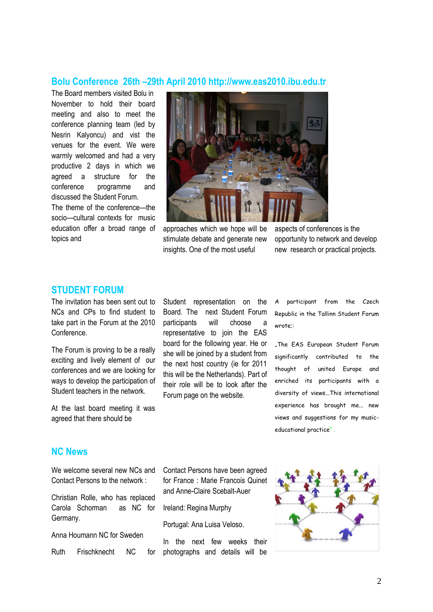#### **Bolu Conference 26th –29th April 2010 http://www.eas2010.ibu.edu.tr**

The Board members visited Bolu in November to hold their board meeting and also to meet the conference planning team (led by Nesrin Kalyoncu) and vist the venues for the event. We were warmly welcomed and had a very productive 2 days in which we agreed a structure for the conference programme and discussed the Student Forum.

The theme of the conference—the socio—cultural contexts for music education offer a broad range of topics and



approaches which we hope will be stimulate debate and generate new insights. One of the most useful

aspects of conferences is the opportunity to network and develop new research or practical projects.

## **STUDENT FORUM**

The invitation has been sent out to NCs and CPs to find student to take part in the Forum at the 2010 Conference.

The Forum is proving to be a really exciting and lively element of our conferences and we are looking for ways to develop the participation of Student teachers in the network.

At the last board meeting it was agreed that there should be

Student representation on the Board. The next Student Forum participants will choose a representative to join the EAS board for the following year. He or she will be joined by a student from the next host country (ie for 2011 this will be the Netherlands). Part of their role will be to look after the Forum page on the website.

participant from the Czech Republic in the Tallinn Student Forum wrote;:

"The EAS European Student Forum significantly contributed to the thought of united Europe and enriched its participants with a diversity of views...This international experience has brought me... new views and suggestions for my musiceducational practice" .

# **NC News**

We welcome several new NCs and Contact Persons to the network :

Christian Rolle, who has replaced Carola Schorman as NC for Germany.

Anna Houmann NC for Sweden

Ruth Frischknecht NC for

Contact Persons have been agreed for France : Marie Francois Quinet and Anne-Claire Scebalt-Auer

Ireland: Regina Murphy

Portugal: Ana Luisa Veloso.

In the next few weeks their photographs and details will be

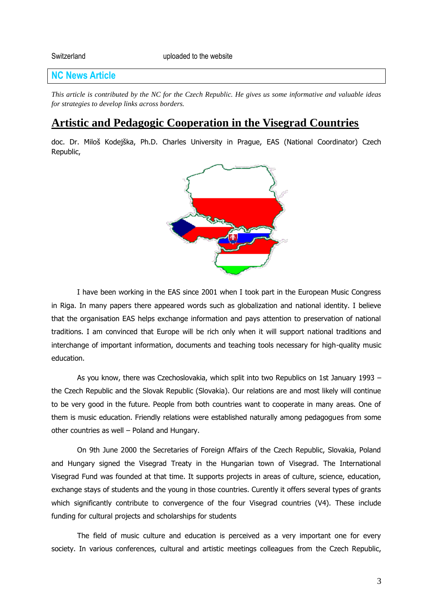## **NC News Article**

*This article is contributed by the NC for the Czech Republic. He gives us some informative and valuable ideas for strategies to develop links across borders.*

# **Artistic and Pedagogic Cooperation in the Visegrad Countries**

doc. Dr. Miloš Kodejška, Ph.D. Charles University in Prague, EAS (National Coordinator) Czech Republic,



I have been working in the EAS since 2001 when I took part in the European Music Congress in Riga. In many papers there appeared words such as globalization and national identity. I believe that the organisation EAS helps exchange information and pays attention to preservation of national traditions. I am convinced that Europe will be rich only when it will support national traditions and interchange of important information, documents and teaching tools necessary for high-quality music education.

As you know, there was Czechoslovakia, which split into two Republics on 1st January 1993 – the Czech Republic and the Slovak Republic (Slovakia). Our relations are and most likely will continue to be very good in the future. People from both countries want to cooperate in many areas. One of them is music education. Friendly relations were established naturally among pedagogues from some other countries as well – Poland and Hungary.

On 9th June 2000 the Secretaries of Foreign Affairs of the Czech Republic, Slovakia, Poland and Hungary signed the Visegrad Treaty in the Hungarian town of Visegrad. The International Visegrad Fund was founded at that time. It supports projects in areas of culture, science, education, exchange stays of students and the young in those countries. Curently it offers several types of grants which significantly contribute to convergence of the four Visegrad countries (V4). These include funding for cultural projects and scholarships for students

The field of music culture and education is perceived as a very important one for every society. In various conferences, cultural and artistic meetings colleagues from the Czech Republic,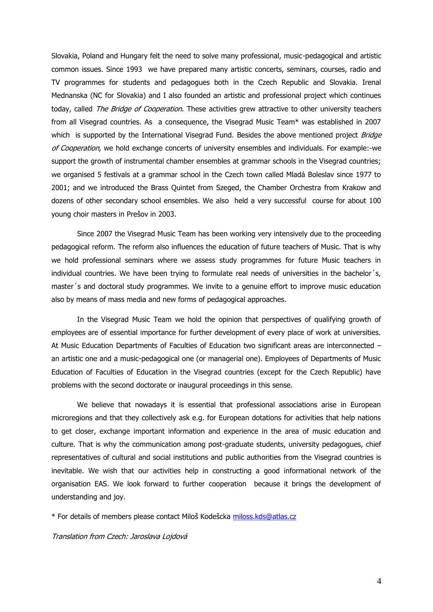Slovakia, Poland and Hungary felt the need to solve many professional, music-pedagogical and artistic common issues. Since 1993 we have prepared many artistic concerts, seminars, courses, radio and TV programmes for students and pedagogues both in the Czech Republic and Slovakia. Irenal Mednanska (NC for Slovakia) and I also founded an artistic and professional project which continues today, called *The Bridge of Cooperation*. These activities grew attractive to other university teachers from all Visegrad countries. As a consequence, the Visegrad Music Team\* was established in 2007 which is supported by the International Visegrad Fund. Besides the above mentioned project *Bridge* of Cooperation, we hold exchange concerts of university ensembles and individuals. For example:-we support the growth of instrumental chamber ensembles at grammar schools in the Visegrad countries; we organised 5 festivals at a grammar school in the Czech town called Mladá Boleslav since 1977 to 2001; and we introduced the Brass Quintet from Szeged, the Chamber Orchestra from Krakow and dozens of other secondary school ensembles. We also held a very successful course for about 100 young choir masters in Prešov in 2003.

Since 2007 the Visegrad Music Team has been working very intensively due to the proceeding pedagogical reform. The reform also influences the education of future teachers of Music. That is why we hold professional seminars where we assess study programmes for future Music teachers in individual countries. We have been trying to formulate real needs of universities in the bachelor´s, master´s and doctoral study programmes. We invite to a genuine effort to improve music education also by means of mass media and new forms of pedagogical approaches.

In the Visegrad Music Team we hold the opinion that perspectives of qualifying growth of employees are of essential importance for further development of every place of work at universities. At Music Education Departments of Faculties of Education two significant areas are interconnected – an artistic one and a music-pedagogical one (or managerial one). Employees of Departments of Music Education of Faculties of Education in the Visegrad countries (except for the Czech Republic) have problems with the second doctorate or inaugural proceedings in this sense.

We believe that nowadays it is essential that professional associations arise in European microregions and that they collectively ask e.g. for European dotations for activities that help nations to get closer, exchange important information and experience in the area of music education and culture. That is why the communication among post-graduate students, university pedagogues, chief representatives of cultural and social institutions and public authorities from the Visegrad countries is inevitable. We wish that our activities help in constructing a good informational network of the organisation EAS. We look forward to further cooperation because it brings the development of understanding and joy.

\* For details of members please contact Miloš Kodešcka [miloss.kds@atlas.cz](mailto:miloss.kds@atlas.cz)

Translation from Czech: Jaroslava Lojdová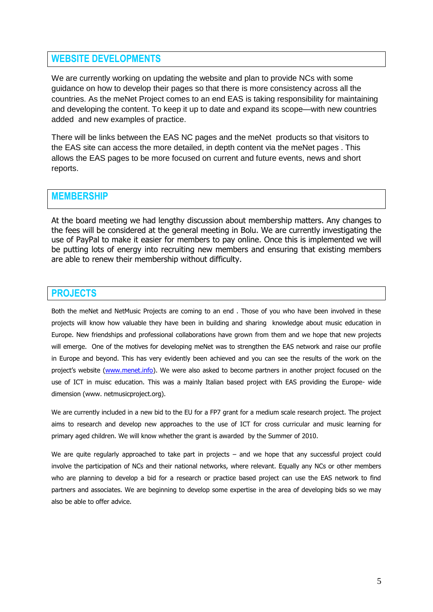## **WEBSITE DEVELOPMENTS**

We are currently working on updating the website and plan to provide NCs with some guidance on how to develop their pages so that there is more consistency across all the countries. As the meNet Project comes to an end EAS is taking responsibility for maintaining and developing the content. To keep it up to date and expand its scope—with new countries added and new examples of practice.

There will be links between the EAS NC pages and the meNet products so that visitors to the EAS site can access the more detailed, in depth content via the meNet pages . This allows the EAS pages to be more focused on current and future events, news and short reports.

#### **MEMBERSHIP**

At the board meeting we had lengthy discussion about membership matters. Any changes to the fees will be considered at the general meeting in Bolu. We are currently investigating the use of PayPal to make it easier for members to pay online. Once this is implemented we will be putting lots of energy into recruiting new members and ensuring that existing members are able to renew their membership without difficulty.

## **PROJECTS**

Both the meNet and NetMusic Projects are coming to an end . Those of you who have been involved in these projects will know how valuable they have been in building and sharing knowledge about music education in Europe. New friendships and professional collaborations have grown from them and we hope that new projects will emerge. One of the motives for developing meNet was to strengthen the EAS network and raise our profile in Europe and beyond. This has very evidently been achieved and you can see the results of the work on the project's website ([www.menet.info\)](http://www.menet.info/). We were also asked to become partners in another project focused on the use of ICT in muisc education. This was a mainly Italian based project with EAS providing the Europe- wide dimension (www. netmusicproject.org).

We are currently included in a new bid to the EU for a FP7 grant for a medium scale research project. The project aims to research and develop new approaches to the use of ICT for cross curricular and music learning for primary aged children. We will know whether the grant is awarded by the Summer of 2010.

We are quite regularly approached to take part in projects – and we hope that any successful project could involve the participation of NCs and their national networks, where relevant. Equally any NCs or other members who are planning to develop a bid for a research or practice based project can use the EAS network to find partners and associates. We are beginning to develop some expertise in the area of developing bids so we may also be able to offer advice.